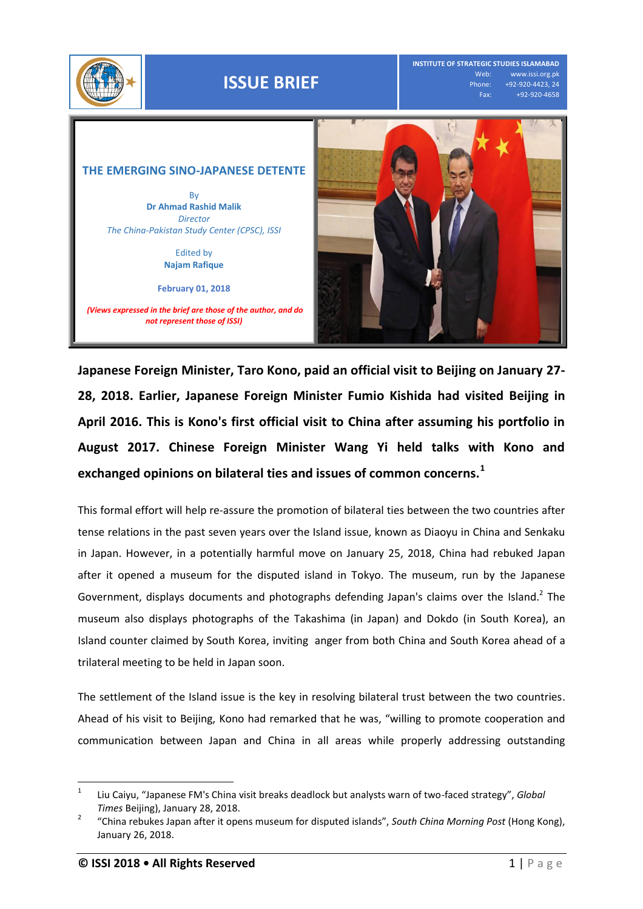

# **ISSUE BRIEF**

**INSTITUTE OF STRATEGIC STUDIES ISLAMABAD** Web: www.issi.org.pk Phone: +92-920-4423, 24 Fax: +92-920-4658

### **THE EMERGING SINO-JAPANESE DETENTE**

By **Dr Ahmad Rashid Malik** *Director The China-Pakistan Study Center (CPSC), ISSI*

> Edited by **Najam Rafique**

**February 01, 2018**

*(Views expressed in the brief are those of the author, and do not represent those of ISSI)*



**Japanese Foreign Minister, Taro Kono, paid an official visit to Beijing on January 27- 28, 2018. Earlier, Japanese Foreign Minister Fumio Kishida had visited Beijing in April 2016. This is Kono's first official visit to China after assuming his portfolio in August 2017. Chinese Foreign Minister Wang Yi held talks with Kono and exchanged opinions on bilateral ties and issues of common concerns.<sup>1</sup>**

This formal effort will help re-assure the promotion of bilateral ties between the two countries after tense relations in the past seven years over the Island issue, known as Diaoyu in China and Senkaku in Japan. However, in a potentially harmful move on January 25, 2018, China had rebuked Japan after it opened a museum for the disputed island in Tokyo. The museum, run by the Japanese Government, displays documents and photographs defending Japan's claims over the Island.<sup>2</sup> The museum also displays photographs of the Takashima (in Japan) and Dokdo (in South Korea), an Island counter claimed by South Korea, inviting anger from both China and South Korea ahead of a trilateral meeting to be held in Japan soon.

The settlement of the Island issue is the key in resolving bilateral trust between the two countries. Ahead of his visit to Beijing, Kono had remarked that he was, "willing to promote cooperation and communication between Japan and China in all areas while properly addressing outstanding

 $\overline{a}$ 

<sup>1</sup> Liu Caiyu, "Japanese FM's China visit breaks deadlock but analysts warn of two-faced strategy", *Global Times* Beijing), January 28, 2018.

<sup>2</sup> "China rebukes Japan after it opens museum for disputed islands", *South China Morning Post* (Hong Kong), January 26, 2018.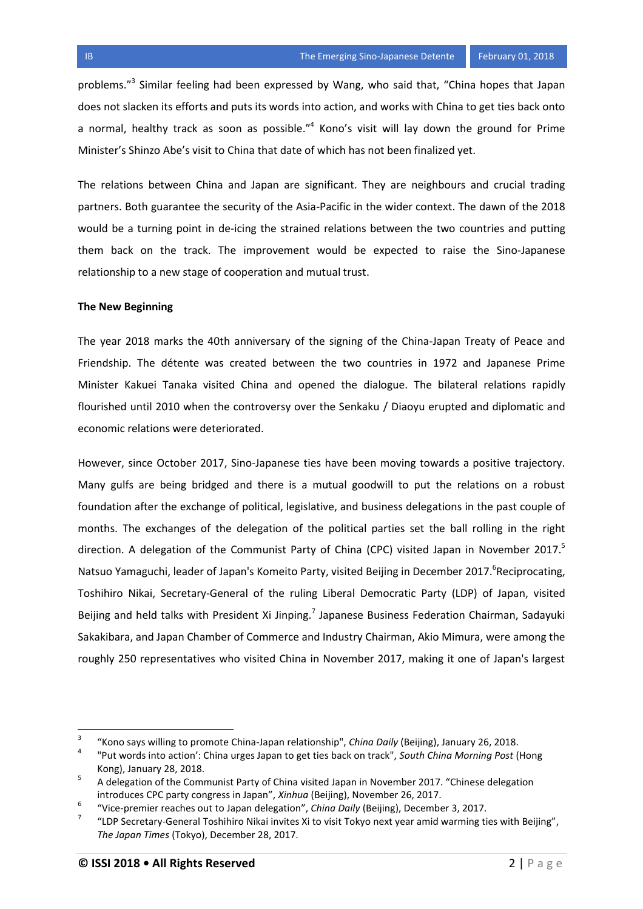problems."<sup>3</sup> Similar feeling had been expressed by Wang, who said that, "China hopes that Japan does not slacken its efforts and puts its words into action, and works with China to get ties back onto a normal, healthy track as soon as possible."<sup>4</sup> Kono's visit will lay down the ground for Prime Minister's Shinzo Abe's visit to China that date of which has not been finalized yet.

The relations between China and Japan are significant. They are neighbours and crucial trading partners. Both guarantee the security of the Asia-Pacific in the wider context. The dawn of the 2018 would be a turning point in de-icing the strained relations between the two countries and putting them back on the track. The improvement would be expected to raise the Sino-Japanese relationship to a new stage of cooperation and mutual trust.

# **The New Beginning**

The year 2018 marks the 40th anniversary of the signing of the China-Japan Treaty of Peace and Friendship. The détente was created between the two countries in 1972 and Japanese Prime Minister Kakuei Tanaka visited China and opened the dialogue. The bilateral relations rapidly flourished until 2010 when the controversy over the Senkaku / Diaoyu erupted and diplomatic and economic relations were deteriorated.

However, since October 2017, Sino-Japanese ties have been moving towards a positive trajectory. Many gulfs are being bridged and there is a mutual goodwill to put the relations on a robust foundation after the exchange of political, legislative, and business delegations in the past couple of months. The exchanges of the delegation of the political parties set the ball rolling in the right direction. A delegation of the Communist Party of China (CPC) visited Japan in November 2017.<sup>5</sup> Natsuo Yamaguchi, leader of Japan's Komeito Party, visited Beijing in December 2017.<sup>6</sup>Reciprocating, Toshihiro Nikai, Secretary-General of the ruling Liberal Democratic Party (LDP) of Japan, visited Beijing and held talks with President Xi Jinping.<sup>7</sup> Japanese Business Federation Chairman, Sadayuki Sakakibara, and Japan Chamber of Commerce and Industry Chairman, Akio Mimura, were among the roughly 250 representatives who visited China in November 2017, making it one of Japan's largest

<sup>—&</sup>lt;br>3 "Kono says willing to promote China-Japan relationship", *China Daily* (Beijing), January 26, 2018.

<sup>4</sup> "Put words into action': China urges Japan to get ties back on track", *South China Morning Post* (Hong Kong), January 28, 2018.

<sup>5</sup> A delegation of the Communist Party of China visited Japan in November 2017. "Chinese delegation introduces CPC party congress in Japan", *Xinhua* (Beijing), November 26, 2017.

<sup>6</sup> "Vice-premier reaches out to Japan delegation", *China Daily* (Beijing), December 3, 2017.

<sup>7</sup> "LDP Secretary-General Toshihiro Nikai invites Xi to visit Tokyo next year amid warming ties with Beijing", *The Japan Times* (Tokyo), December 28, 2017.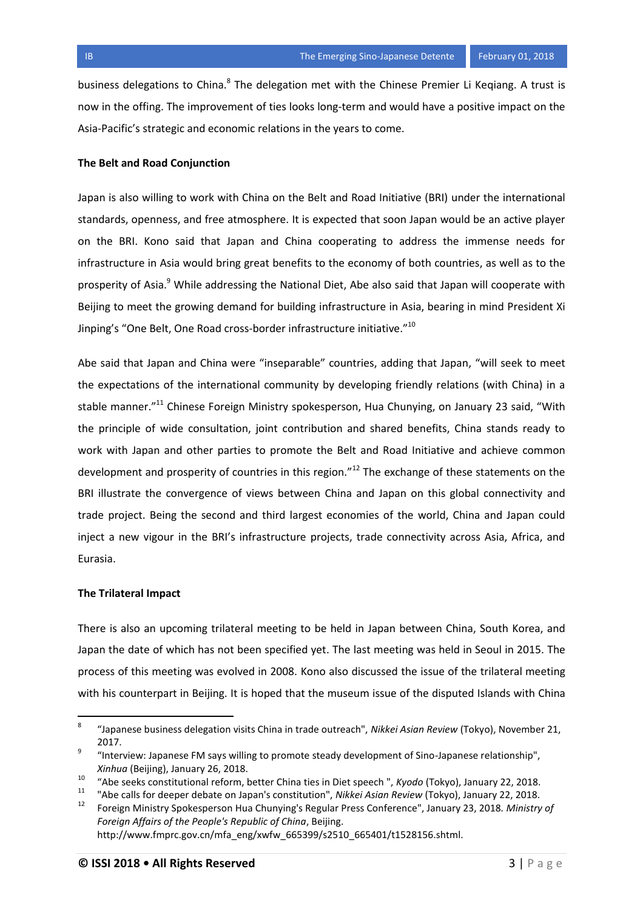business delegations to China.<sup>8</sup> The delegation met with the Chinese Premier Li Keqiang. A trust is now in the offing. The improvement of ties looks long-term and would have a positive impact on the Asia-Pacific's strategic and economic relations in the years to come.

#### **The Belt and Road Conjunction**

Japan is also willing to work with China on the Belt and Road Initiative (BRI) under the international standards, openness, and free atmosphere. It is expected that soon Japan would be an active player on the BRI. Kono said that Japan and China cooperating to address the immense needs for infrastructure in Asia would bring great benefits to the economy of both countries, as well as to the prosperity of Asia.<sup>9</sup> While addressing the National Diet, Abe also said that Japan will cooperate with Beijing to meet the growing demand for building infrastructure in Asia, bearing in mind President Xi Jinping's "One Belt, One Road cross-border infrastructure initiative."<sup>10</sup>

Abe said that Japan and China were "inseparable" countries, adding that Japan, "will seek to meet the expectations of the international community by developing friendly relations (with China) in a stable manner."<sup>11</sup> Chinese Foreign Ministry spokesperson, Hua Chunying, on January 23 said, "With the principle of wide consultation, joint contribution and shared benefits, China stands ready to work with Japan and other parties to promote the Belt and Road Initiative and achieve common development and prosperity of countries in this region."<sup>12</sup> The exchange of these statements on the BRI illustrate the convergence of views between China and Japan on this global connectivity and trade project. Being the second and third largest economies of the world, China and Japan could inject a new vigour in the BRI's infrastructure projects, trade connectivity across Asia, Africa, and Eurasia.

#### **The Trilateral Impact**

There is also an upcoming trilateral meeting to be held in Japan between China, South Korea, and Japan the date of which has not been specified yet. The last meeting was held in Seoul in 2015. The process of this meeting was evolved in 2008. Kono also discussed the issue of the trilateral meeting with his counterpart in Beijing. It is hoped that the museum issue of the disputed Islands with China

http://www.fmprc.gov.cn/mfa\_eng/xwfw\_665399/s2510\_665401/t1528156.shtml.

<sup>-&</sup>lt;br>8 "Japanese business delegation visits China in trade outreach", *Nikkei Asian Review* (Tokyo), November 21, 2017.

<sup>9</sup> "Interview: Japanese FM says willing to promote steady development of Sino-Japanese relationship", *Xinhua* (Beijing), January 26, 2018.

<sup>10</sup> "Abe seeks constitutional reform, better China ties in Diet speech ", *Kyodo* (Tokyo), January 22, 2018.

<sup>11</sup> "Abe calls for deeper debate on Japan's constitution", *Nikkei Asian Review* (Tokyo), January 22, 2018.

<sup>12</sup> Foreign Ministry Spokesperson Hua Chunying's Regular Press Conference", January 23, 2018*. Ministry of Foreign Affairs of the People's Republic of China*, Beijing.